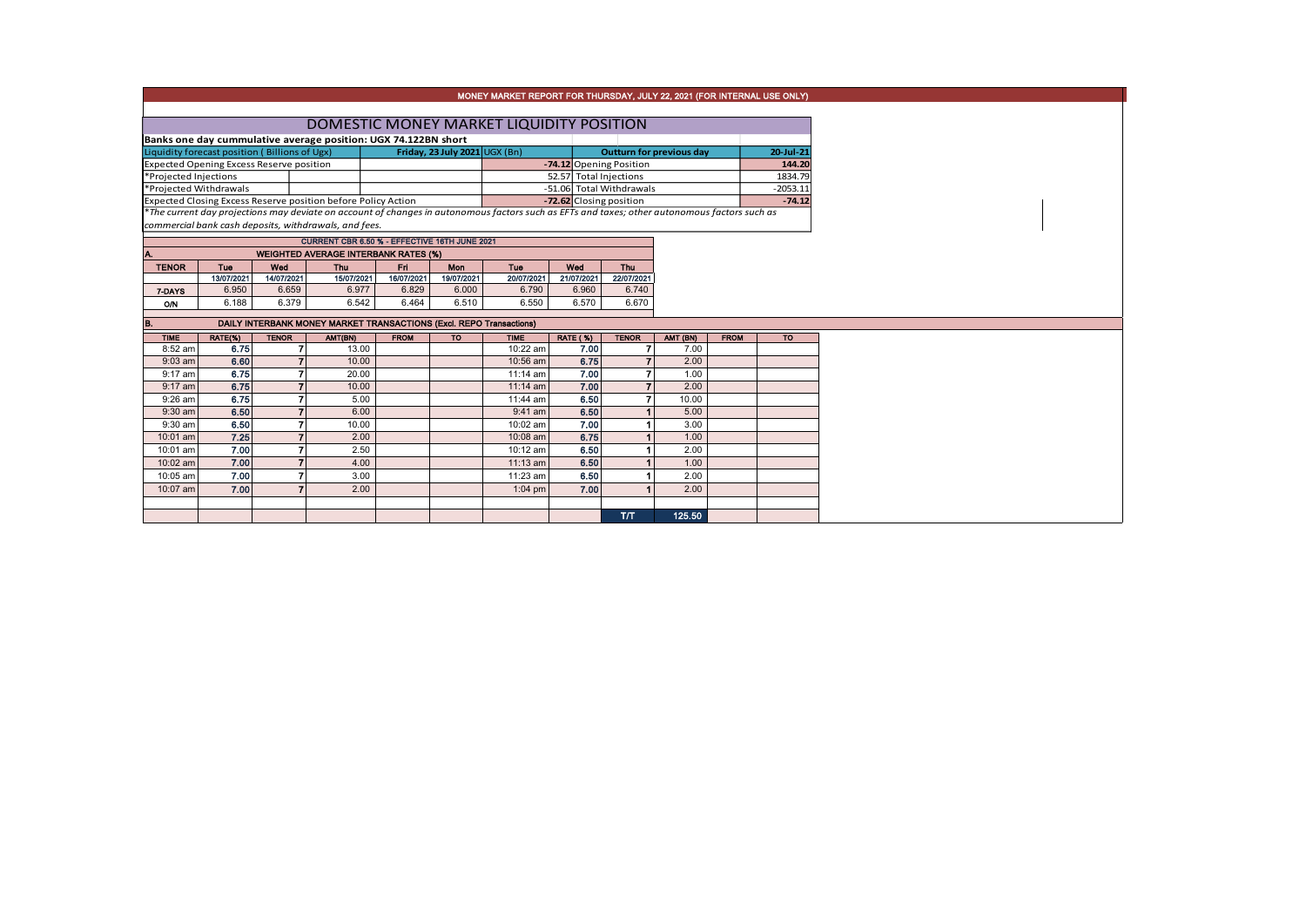|                                                 |                                               |                          |                                                                     |             |                               | MONEY MARKET REPORT FOR THURSDAY, JULY 22, 2021 (FOR INTERNAL USE ONLY)                                                                       |                         |                          |                                 |             |                        |
|-------------------------------------------------|-----------------------------------------------|--------------------------|---------------------------------------------------------------------|-------------|-------------------------------|-----------------------------------------------------------------------------------------------------------------------------------------------|-------------------------|--------------------------|---------------------------------|-------------|------------------------|
|                                                 |                                               |                          |                                                                     |             |                               |                                                                                                                                               |                         |                          |                                 |             |                        |
|                                                 |                                               |                          |                                                                     |             |                               | DOMESTIC MONEY MARKET LIQUIDITY POSITION                                                                                                      |                         |                          |                                 |             |                        |
|                                                 |                                               |                          | Banks one day cummulative average position: UGX 74.122BN short      |             |                               |                                                                                                                                               |                         |                          |                                 |             |                        |
|                                                 | Liquidity forecast position (Billions of Ugx) |                          |                                                                     |             | Friday, 23 July 2021 UGX (Bn) |                                                                                                                                               |                         |                          | <b>Outturn for previous day</b> |             | 20-Jul-21              |
| <b>Expected Opening Excess Reserve position</b> |                                               |                          |                                                                     |             |                               |                                                                                                                                               |                         | -74.12 Opening Position  |                                 |             | 144.20                 |
| *Projected Injections                           |                                               |                          |                                                                     |             |                               |                                                                                                                                               | 52.57 Total Injections  |                          |                                 |             | 1834.79                |
| *Projected Withdrawals                          |                                               |                          |                                                                     |             |                               |                                                                                                                                               |                         | -51.06 Total Withdrawals |                                 |             | $-2053.11$<br>$-74.12$ |
|                                                 |                                               |                          | Expected Closing Excess Reserve position before Policy Action       |             |                               | *The current day projections may deviate on account of changes in autonomous factors such as EFTs and taxes; other autonomous factors such as | -72.62 Closing position |                          |                                 |             |                        |
|                                                 |                                               |                          | commercial bank cash deposits, withdrawals, and fees.               |             |                               |                                                                                                                                               |                         |                          |                                 |             |                        |
|                                                 |                                               |                          | CURRENT CBR 6.50 % - EFFECTIVE 16TH JUNE 2021                       |             |                               |                                                                                                                                               |                         |                          |                                 |             |                        |
| A.                                              |                                               |                          | <b>WEIGHTED AVERAGE INTERBANK RATES (%)</b>                         |             |                               |                                                                                                                                               |                         |                          |                                 |             |                        |
| <b>TENOR</b>                                    | Tue                                           | Wed                      | <b>Thu</b>                                                          | Eri.        | Mon                           | Tue                                                                                                                                           | Wed                     | <b>Thu</b>               |                                 |             |                        |
|                                                 | 13/07/2021                                    | 14/07/2021               | 15/07/2021                                                          | 16/07/2021  | 19/07/2021                    | 20/07/2021                                                                                                                                    | 21/07/2021              | 22/07/2021               |                                 |             |                        |
| 7-DAYS                                          | 6.950                                         | 6.659                    | 6.977                                                               | 6.829       | 6.000                         | 6.790                                                                                                                                         | 6.960                   | 6.740                    |                                 |             |                        |
| O/N                                             | 6.188                                         | 6.379                    | 6.542                                                               | 6.464       | 6.510                         | 6.550                                                                                                                                         | 6.570                   | 6.670                    |                                 |             |                        |
| B.                                              |                                               |                          | DAILY INTERBANK MONEY MARKET TRANSACTIONS (Excl. REPO Transactions) |             |                               |                                                                                                                                               |                         |                          |                                 |             |                        |
| <b>TIME</b>                                     | RATE(%)                                       | <b>TENOR</b>             | AMT(BN)                                                             | <b>FROM</b> | <b>TO</b>                     | <b>TIME</b>                                                                                                                                   | <b>RATE (%)</b>         | <b>TENOR</b>             | AMT (BN)                        | <b>FROM</b> | <b>TO</b>              |
| 8:52 am                                         | 6.75                                          | $\overline{ }$           | 13.00                                                               |             |                               | 10:22 am                                                                                                                                      | 7.00                    |                          | 7.00                            |             |                        |
| $9:03$ am                                       | 6.60                                          | $\overline{7}$           | 10.00                                                               |             |                               | 10:56 am                                                                                                                                      | 6.75                    |                          | 2.00                            |             |                        |
| $9:17$ am                                       | 6.75                                          | $\overline{7}$           | 20.00                                                               |             |                               | 11:14 am                                                                                                                                      | 7.00                    | 7                        | 1.00                            |             |                        |
| $9:17$ am                                       | 6.75                                          | $\overline{7}$           | 10.00                                                               |             |                               | $11:14$ am                                                                                                                                    | 7.00                    | $\overline{ }$           | 2.00                            |             |                        |
| $9:26$ am                                       | 6.75                                          | $\overline{r}$           | 5.00                                                                |             |                               | 11:44 am                                                                                                                                      | 6.50                    |                          | 10.00                           |             |                        |
| 9:30 am                                         | 6.50                                          | $\overline{7}$           | 6.00                                                                |             |                               | 9:41 am                                                                                                                                       | 6.50                    |                          | 5.00                            |             |                        |
| 9:30 am                                         | 6.50                                          | $\overline{\phantom{a}}$ | 10.00                                                               |             |                               | 10:02 am                                                                                                                                      | 7.00                    |                          | 3.00                            |             |                        |
| 10:01 am                                        | 7.25                                          | $\overline{7}$           | 2.00                                                                |             |                               | 10:08 am                                                                                                                                      | 6.75                    |                          | 1.00                            |             |                        |
| 10:01 am                                        | 7.00                                          | $\overline{ }$           | 2.50                                                                |             |                               | 10:12 am                                                                                                                                      | 6.50                    |                          | 2.00                            |             |                        |
| 10:02 am                                        | 7.00                                          | $\overline{7}$           | 4.00                                                                |             |                               | $11:13$ am                                                                                                                                    | 6.50                    |                          | 1.00                            |             |                        |
| 10:05 am                                        | 7.00                                          | $\overline{ }$           | 3.00                                                                |             |                               | 11:23 am                                                                                                                                      | 6.50                    |                          | 2.00                            |             |                        |
| 10:07 am                                        | 7.00                                          | $\overline{ }$           | 2.00                                                                |             |                               | $1:04$ pm                                                                                                                                     | 7.00                    |                          | 2.00                            |             |                        |
|                                                 |                                               |                          |                                                                     |             |                               |                                                                                                                                               |                         |                          |                                 |             |                        |
|                                                 |                                               |                          |                                                                     |             |                               |                                                                                                                                               |                         | T/T                      | 125.50                          |             |                        |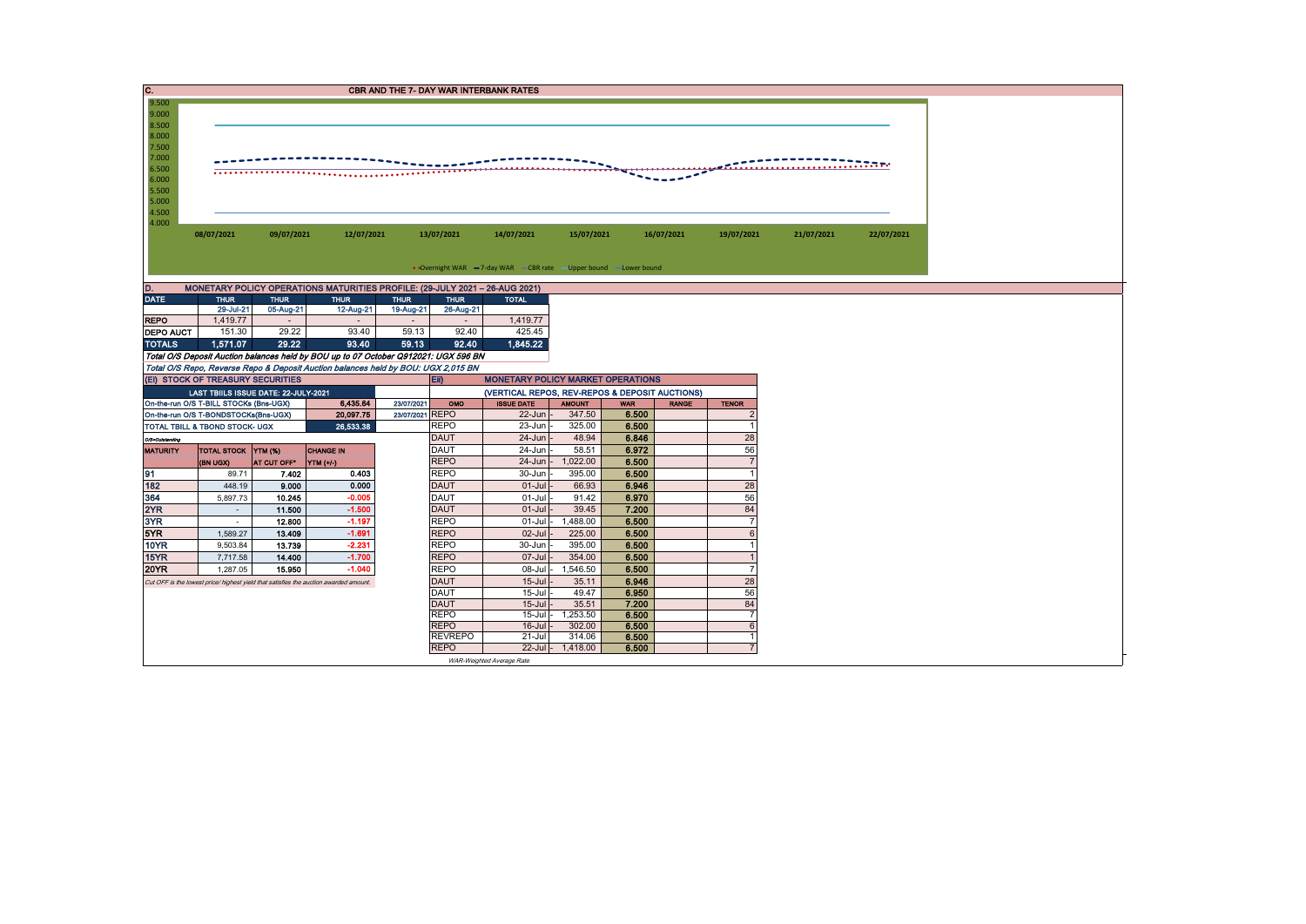| C.                 |                                                                                       |                  |                                                                                     |                 |                            | <b>CBR AND THE 7- DAY WAR INTERBANK RATES</b>                      |                      |                |              |                          |            |            |
|--------------------|---------------------------------------------------------------------------------------|------------------|-------------------------------------------------------------------------------------|-----------------|----------------------------|--------------------------------------------------------------------|----------------------|----------------|--------------|--------------------------|------------|------------|
| 9.500              |                                                                                       |                  |                                                                                     |                 |                            |                                                                    |                      |                |              |                          |            |            |
| 9.000              |                                                                                       |                  |                                                                                     |                 |                            |                                                                    |                      |                |              |                          |            |            |
| 8.500<br>8.000     |                                                                                       |                  |                                                                                     |                 |                            |                                                                    |                      |                |              |                          |            |            |
| 7.500              |                                                                                       |                  |                                                                                     |                 |                            |                                                                    |                      |                |              |                          |            |            |
| 7.000              |                                                                                       |                  |                                                                                     |                 |                            |                                                                    |                      |                |              |                          |            |            |
| 6.500              |                                                                                       |                  |                                                                                     | .               |                            |                                                                    |                      |                |              |                          |            |            |
| 6.000              |                                                                                       |                  |                                                                                     |                 |                            |                                                                    |                      |                |              |                          |            |            |
| 5.500              |                                                                                       |                  |                                                                                     |                 |                            |                                                                    |                      |                |              |                          |            |            |
| 5.000              |                                                                                       |                  |                                                                                     |                 |                            |                                                                    |                      |                |              |                          |            |            |
| 4.500<br>4.000     |                                                                                       |                  |                                                                                     |                 |                            |                                                                    |                      |                |              |                          |            |            |
|                    | 08/07/2021                                                                            | 09/07/2021       | 12/07/2021                                                                          |                 | 13/07/2021                 | 14/07/2021                                                         | 15/07/2021           |                | 16/07/2021   | 19/07/2021               | 21/07/2021 | 22/07/2021 |
|                    |                                                                                       |                  |                                                                                     |                 |                            |                                                                    |                      |                |              |                          |            |            |
|                    |                                                                                       |                  |                                                                                     |                 |                            |                                                                    |                      |                |              |                          |            |            |
|                    |                                                                                       |                  |                                                                                     |                 |                            | • Overnight WAR = 7-day WAR - CBR rate - Upper bound - Lower bound |                      |                |              |                          |            |            |
| D.                 |                                                                                       |                  | MONETARY POLICY OPERATIONS MATURITIES PROFILE: (29-JULY 2021 - 26-AUG 2021)         |                 |                            |                                                                    |                      |                |              |                          |            |            |
| <b>DATE</b>        | <b>THUR</b>                                                                           | <b>THUR</b>      | <b>THUR</b>                                                                         | <b>THUR</b>     | <b>THUR</b>                | <b>TOTAL</b>                                                       |                      |                |              |                          |            |            |
|                    | 29-Jul-21                                                                             | 05-Aug-21        | 12-Aug-21                                                                           | 19-Aug-21       | 26-Aug-21                  |                                                                    |                      |                |              |                          |            |            |
| <b>REPO</b>        | 1,419.77                                                                              |                  |                                                                                     |                 |                            | 1,419.77                                                           |                      |                |              |                          |            |            |
| <b>DEPO AUCT</b>   | 151.30                                                                                | 29.22            | 93.40                                                                               | 59.13           | 92.40                      | 425.45                                                             |                      |                |              |                          |            |            |
| <b>TOTALS</b>      | 1,571.07                                                                              | 29.22            | 93.40                                                                               | 59.13           | 92.40                      | 1,845.22                                                           |                      |                |              |                          |            |            |
|                    |                                                                                       |                  | Total O/S Deposit Auction balances held by BOU up to 07 October Q912021: UGX 596 BN |                 |                            |                                                                    |                      |                |              |                          |            |            |
|                    |                                                                                       |                  | Total O/S Repo, Reverse Repo & Deposit Auction balances held by BOU: UGX 2,015 BN   |                 |                            |                                                                    |                      |                |              |                          |            |            |
|                    | (Ei) STOCK OF TREASURY SECURITIES                                                     |                  |                                                                                     |                 | EII)                       | <b>MONETARY POLICY MARKET OPERATIONS</b>                           |                      |                |              |                          |            |            |
|                    | LAST TBIILS ISSUE DATE: 22-JULY-2021                                                  |                  |                                                                                     |                 |                            | (VERTICAL REPOS, REV-REPOS & DEPOSIT AUCTIONS)                     |                      |                |              |                          |            |            |
|                    | On-the-run O/S T-BILL STOCKs (Bns-UGX)                                                |                  | 6,435.64                                                                            | 23/07/2021      | OMO                        | <b>ISSUE DATE</b>                                                  | <b>AMOUNT</b>        | <b>WAR</b>     | <b>RANGE</b> | <b>TENOR</b>             |            |            |
|                    | On-the-run O/S T-BONDSTOCKs(Bns-UGX)                                                  |                  | 20,097.75                                                                           | 23/07/2021 REPO |                            | $22 - Jun$                                                         | 347.50               | 6.500          |              | $\overline{\phantom{0}}$ |            |            |
|                    | TOTAL TBILL & TBOND STOCK- UGX                                                        |                  | 26,533.38                                                                           |                 | <b>REPO</b><br><b>DAUT</b> | 23-Jun<br>$24 - Jun$                                               | 325.00<br>48.94      | 6.500<br>6.846 |              | 28                       |            |            |
| O/S=Outstanding    |                                                                                       |                  | <b>CHANGE IN</b>                                                                    |                 | <b>DAUT</b>                | $24 - Jun$                                                         | 58.51                | 6.972          |              | 56                       |            |            |
| <b>MATURITY</b>    | TOTAL STOCK YTM (%)<br>(BN UGX)                                                       | AT CUT OFF*      | YTM (+/-)                                                                           |                 | <b>REPO</b>                | 24-Jun                                                             | 1,022.00             | 6.500          |              | $\overline{7}$           |            |            |
| 91                 | 89.71                                                                                 | 7.402            | 0.403                                                                               |                 | <b>REPO</b>                | 30-Jun                                                             | 395.00               | 6.500          |              |                          |            |            |
| 182                | 448.19                                                                                | 9.000            | 0.000                                                                               |                 |                            |                                                                    |                      |                |              |                          |            |            |
|                    |                                                                                       |                  |                                                                                     |                 |                            |                                                                    |                      |                |              | $\overline{1}$           |            |            |
|                    |                                                                                       |                  |                                                                                     |                 | <b>DAUT</b>                | $01 -$ Jul                                                         | 66.93                | 6.946          |              | 28                       |            |            |
| 364                | 5,897.73<br>$\sim$                                                                    | 10.245<br>11.500 | $-0.005$<br>$-1.500$                                                                |                 | <b>DAUT</b><br><b>DAUT</b> | $01 -$ Jul<br>$01 -$ Jul                                           | 91.42<br>39.45       | 6.970<br>7.200 |              | 56<br>84                 |            |            |
| 3YR                | $\sim$                                                                                | 12.800           | $-1.197$                                                                            |                 | <b>REPO</b>                | 01-Jul                                                             | 1.488.00             | 6.500          |              | $\overline{7}$           |            |            |
| 5YR                | 1.589.27                                                                              | 13,409           | $-1.691$                                                                            |                 | <b>REPO</b>                | $02 -$ Jul                                                         | 225.00               | 6.500          |              | 6                        |            |            |
| 2YR<br><b>10YR</b> | 9,503.84                                                                              | 13.739           | $-2.231$                                                                            |                 | <b>REPO</b>                | 30-Jun                                                             | 395.00               | 6.500          |              | $\overline{1}$           |            |            |
| <b>15YR</b>        | 7,717.58                                                                              | 14.400           | $-1.700$                                                                            |                 | <b>REPO</b>                | 07-Jul                                                             | 354.00               | 6.500          |              | $\overline{1}$           |            |            |
| <b>20YR</b>        | 1,287.05                                                                              | 15.950           | $-1.040$                                                                            |                 | <b>REPO</b>                | 08-Jul                                                             | 1,546.50             | 6.500          |              | $\overline{7}$           |            |            |
|                    | Cut OFF is the lowest price/ highest yield that satisfies the auction awarded amount. |                  |                                                                                     |                 | <b>DAUT</b>                | $15 -$ Jul                                                         | 35.11                | 6.946          |              | 28                       |            |            |
|                    |                                                                                       |                  |                                                                                     |                 | <b>DAUT</b>                | $15 -$ Jul                                                         | 49.47                | 6.950          |              | 56                       |            |            |
|                    |                                                                                       |                  |                                                                                     |                 | <b>DAUT</b>                | $15 -$ Jul                                                         | 35.51                | 7.200          |              | 84                       |            |            |
|                    |                                                                                       |                  |                                                                                     |                 | <b>REPO</b>                | $15 -$ Jul                                                         | 1,253.50             | 6.500          |              | $\overline{7}$           |            |            |
|                    |                                                                                       |                  |                                                                                     |                 | <b>REPO</b>                | $16$ -Jul                                                          | 302.00               | 6.500          |              | 6                        |            |            |
|                    |                                                                                       |                  |                                                                                     |                 | <b>REVREPO</b>             | $21 -$ Jul                                                         | 314.06               | 6.500          |              |                          |            |            |
|                    |                                                                                       |                  |                                                                                     |                 | <b>REPO</b>                | WAR-Weighted Average Rate                                          | $22$ -Jul - 1,418.00 | 6.500          |              |                          |            |            |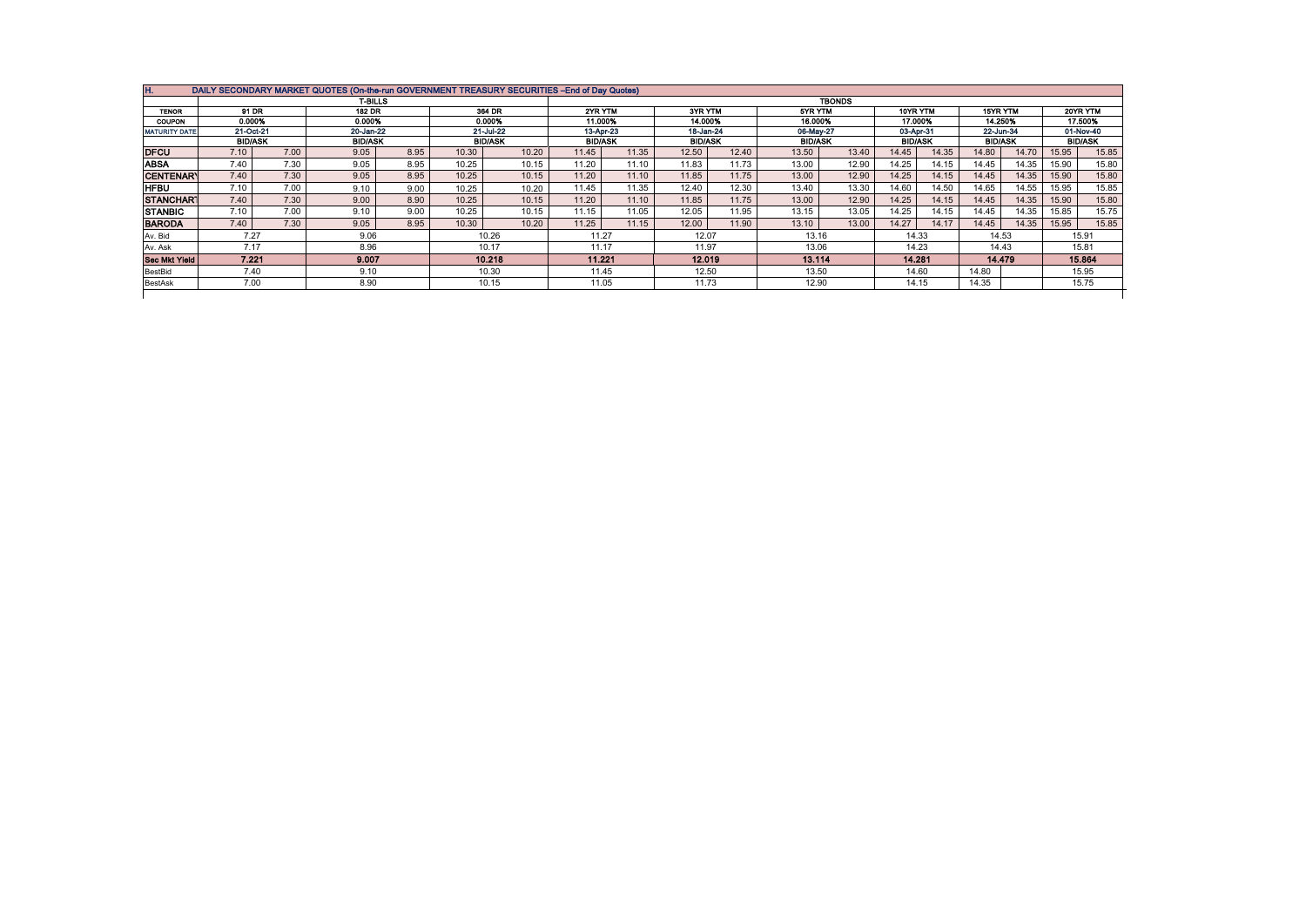|                      |                             |      | <b>T-BILLS</b>              |      |                             |       | <b>TBONDS</b>               |       |                             |       |                             |       |                             |       |                                        |       |                                        |       |  |
|----------------------|-----------------------------|------|-----------------------------|------|-----------------------------|-------|-----------------------------|-------|-----------------------------|-------|-----------------------------|-------|-----------------------------|-------|----------------------------------------|-------|----------------------------------------|-------|--|
| <b>TENOR</b>         | 91 DR                       |      | <b>182 DR</b>               |      | 364 DR                      |       | 2YR YTM                     |       | 3YR YTM                     |       | 5YR YTM                     |       | 10YR YTM                    |       | 15YR YTM                               |       | 20YR YTM                               |       |  |
| <b>COUPON</b>        | 0.000%                      |      | 0.000%                      |      | 0.000%                      |       | 11.000%                     |       | 14.000%                     |       | 16.000%                     |       | 17.000%                     |       | 14.250%<br>22-Jun-34<br><b>BID/ASK</b> |       | 17.500%<br>01-Nov-40<br><b>BID/ASK</b> |       |  |
| <b>MATURITY DATE</b> | 21-Oct-21<br><b>BID/ASK</b> |      | 20-Jan-22<br><b>BID/ASK</b> |      | 21-Jul-22<br><b>BID/ASK</b> |       | 13-Apr-23<br><b>BID/ASK</b> |       | 18-Jan-24<br><b>BID/ASK</b> |       | 06-May-27<br><b>BID/ASK</b> |       | 03-Apr-31<br><b>BID/ASK</b> |       |                                        |       |                                        |       |  |
|                      |                             |      |                             |      |                             |       |                             |       |                             |       |                             |       |                             |       |                                        |       |                                        |       |  |
| <b>DFCU</b>          | 7.10                        | 7.00 | 9.05                        | 8.95 | 10.30                       | 10.20 | 11.45                       | 11.35 | 12.50                       | 12.40 | 13.50                       | 13.40 | 14.45                       | 14.35 | 14.80                                  | 14.70 | 15.95                                  | 15.85 |  |
| <b>ABSA</b>          | 7.40                        | 7.30 | 9.05                        | 8.95 | 10.25                       | 10.15 | 11.20                       | 11.10 | 11.83                       | 11.73 | 13.00                       | 12.90 | 14.25                       | 14.15 | 14.45                                  | 14.35 | 15.90                                  | 15.80 |  |
| <b>CENTENARY</b>     | 7.40                        | 7.30 | 9.05                        | 8.95 | 10.25                       | 10.15 | 11.20                       | 11.10 | 11.85                       | 11.75 | 13.00                       | 12.90 | 14.25                       | 14.15 | 14.45                                  | 14.35 | 15.90                                  | 15.80 |  |
| <b>HFBU</b>          | 7.10                        | 7.00 | 9.10                        | 9.00 | 10.25                       | 10.20 | 11.45                       | 11.35 | 12.40                       | 12.30 | 13.40                       | 13.30 | 14.60                       | 14.50 | 14.65                                  | 14.55 | 15.95                                  | 15.85 |  |
| <b>STANCHART</b>     | 7.40                        | 7.30 | 9.00                        | 8.90 | 10.25                       | 10.15 | 11.20                       | 11.10 | 11.85                       | 11.75 | 13.00                       | 12.90 | 14.25                       | 14.15 | 14.45                                  | 14.35 | 15.90                                  | 15.80 |  |
| <b>STANBIC</b>       | 7.10                        | 7.00 | 9.10                        | 9.00 | 10.25                       | 10.15 | 11.15                       | 11.05 | 12.05                       | 11.95 | 13.15                       | 13.05 | 14.25                       | 14.15 | 14.45                                  | 14.35 | 15.85                                  | 15.75 |  |
| <b>BARODA</b>        | 7.40                        | 7.30 | 9.05                        | 8.95 | 10.30                       | 10.20 | 11.25                       | 11.15 | 12.00                       | 11.90 | 13.10                       | 13.00 | 14.27                       | 14.17 | 14.45                                  | 14.35 | 15.95                                  | 15.85 |  |
| Av. Bid              | 7.27                        |      | 9.06                        |      | 10.26                       |       | 11.27                       |       | 12.07                       |       | 13.16                       |       | 14.33                       |       | 14.53                                  |       | 15.91                                  |       |  |
| Av. Ask              | 7.17                        |      | 8.96                        |      | 10.17                       |       | 11.17                       |       | 11.97                       |       | 13.06                       |       | 14.23                       |       | 14.43                                  |       | 15.81                                  |       |  |
| <b>Sec Mkt Yield</b> | 7.221                       |      | 9.007                       |      | 10.218                      |       | 11.221                      |       | 12.019                      |       | 13.114                      |       | 14.281                      |       | 14.479                                 |       | 15.864                                 |       |  |
| BestBid              | 7.40                        |      | 9.10                        |      | 10.30                       |       | 11.45                       |       | 12.50                       |       | 13.50                       |       | 14.60                       |       | 14.80                                  |       | 15.95                                  |       |  |
| BestAsk              | 7.00                        |      | 8.90                        |      | 10.15                       |       | 11.05                       |       | 11.73                       |       | 12.90                       |       | 14.15                       |       | 14.35                                  |       | 15.75                                  |       |  |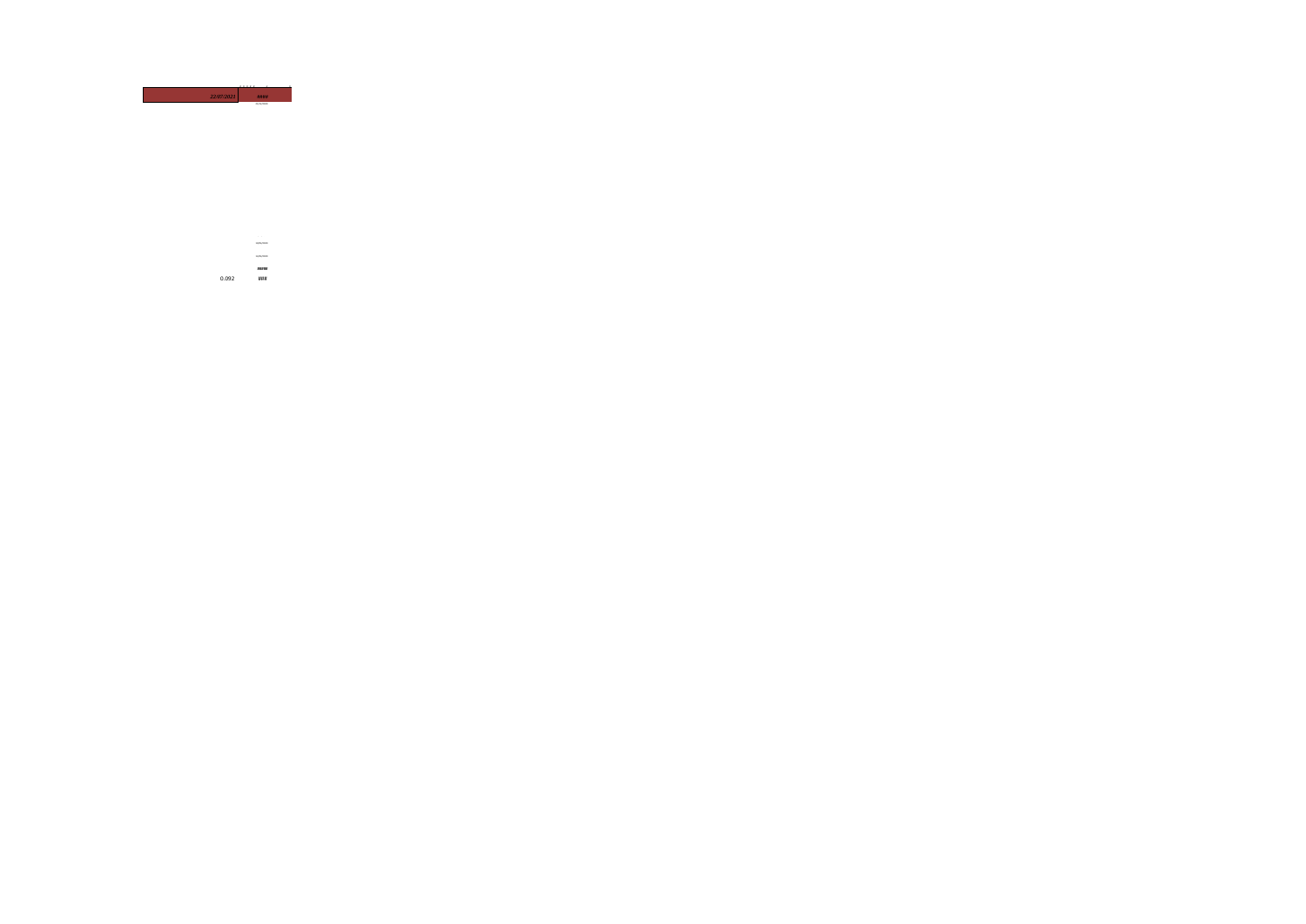

01/01/2021 10/04/2020 13/04/2020 **#####** 0.092 ###